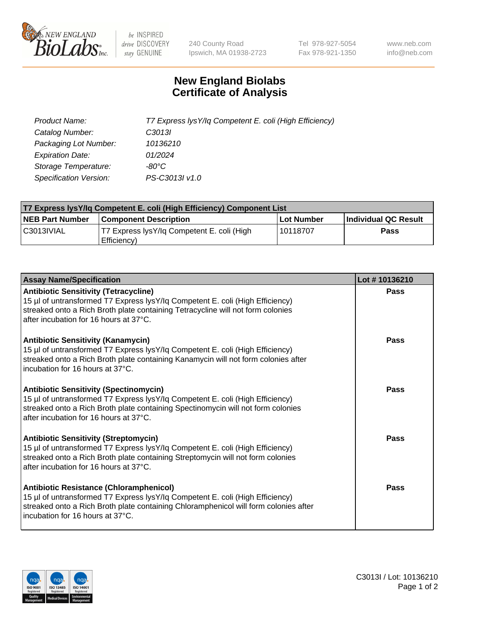

 $be$  INSPIRED drive DISCOVERY stay GENUINE

240 County Road Ipswich, MA 01938-2723 Tel 978-927-5054 Fax 978-921-1350 www.neb.com info@neb.com

## **New England Biolabs Certificate of Analysis**

| Product Name:                 | T7 Express lysY/lq Competent E. coli (High Efficiency) |
|-------------------------------|--------------------------------------------------------|
| Catalog Number:               | C3013I                                                 |
| Packaging Lot Number:         | 10136210                                               |
| <b>Expiration Date:</b>       | 01/2024                                                |
| Storage Temperature:          | -80°C                                                  |
| <b>Specification Version:</b> | PS-C3013I v1.0                                         |

| T7 Express lysY/lq Competent E. coli (High Efficiency) Component List |                                                           |            |                      |  |
|-----------------------------------------------------------------------|-----------------------------------------------------------|------------|----------------------|--|
| <b>NEB Part Number</b>                                                | <b>Component Description</b>                              | Lot Number | Individual QC Result |  |
| C3013IVIAL                                                            | T7 Express lysY/lg Competent E. coli (High<br>Efficiency) | l 10118707 | <b>Pass</b>          |  |

| <b>Assay Name/Specification</b>                                                                                                                                                                                                                              | Lot #10136210 |
|--------------------------------------------------------------------------------------------------------------------------------------------------------------------------------------------------------------------------------------------------------------|---------------|
| <b>Antibiotic Sensitivity (Tetracycline)</b><br>15 µl of untransformed T7 Express lysY/lq Competent E. coli (High Efficiency)<br>streaked onto a Rich Broth plate containing Tetracycline will not form colonies<br>after incubation for 16 hours at 37°C.   | Pass          |
| <b>Antibiotic Sensitivity (Kanamycin)</b><br>15 µl of untransformed T7 Express lysY/lq Competent E. coli (High Efficiency)<br>streaked onto a Rich Broth plate containing Kanamycin will not form colonies after<br>incubation for 16 hours at 37°C.         | Pass          |
| <b>Antibiotic Sensitivity (Spectinomycin)</b><br>15 µl of untransformed T7 Express lysY/lq Competent E. coli (High Efficiency)<br>streaked onto a Rich Broth plate containing Spectinomycin will not form colonies<br>after incubation for 16 hours at 37°C. | Pass          |
| <b>Antibiotic Sensitivity (Streptomycin)</b><br>15 µl of untransformed T7 Express lysY/lq Competent E. coli (High Efficiency)<br>streaked onto a Rich Broth plate containing Streptomycin will not form colonies<br>after incubation for 16 hours at 37°C.   | Pass          |
| Antibiotic Resistance (Chloramphenicol)<br>15 µl of untransformed T7 Express lysY/lq Competent E. coli (High Efficiency)<br>streaked onto a Rich Broth plate containing Chloramphenicol will form colonies after<br>Incubation for 16 hours at 37°C.         | Pass          |